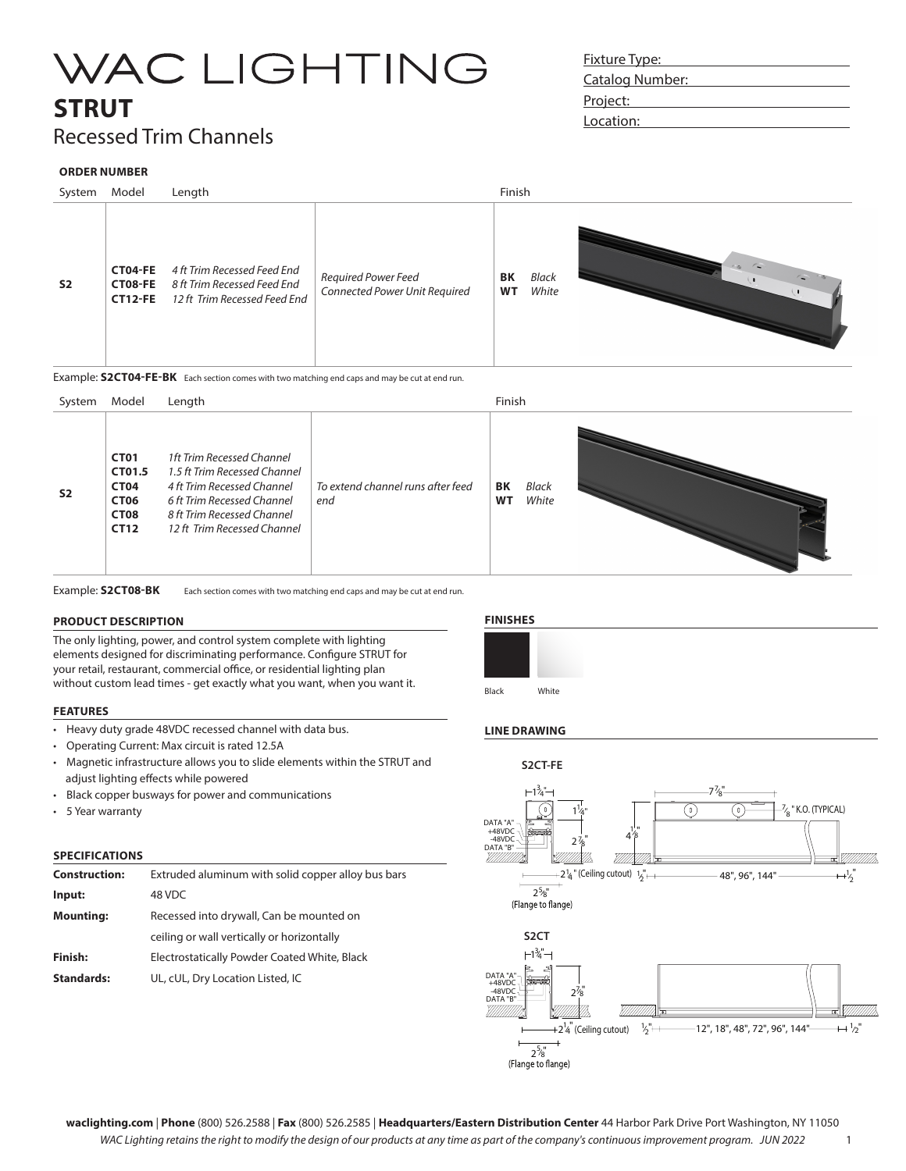### **STRUT**

### Recessed Trim Channels

#### **ORDER NUMBER**



Example: **S2CT04-FE-BK** Each section comes with two matching end caps and may be cut at end run.



Example: **S2CT08-BK** Each section comes with two matching end caps and may be cut at end run.

#### **PRODUCT DESCRIPTION**

The only lighting, power, and control system complete with lighting elements designed for discriminating performance. Configure STRUT for your retail, restaurant, commercial office, or residential lighting plan without custom lead times - get exactly what you want, when you want it.

#### **FEATURES**

- Heavy duty grade 48VDC recessed channel with data bus.
- Operating Current: Max circuit is rated 12.5A
- Magnetic infrastructure allows you to slide elements within the STRUT and adjust lighting effects while powered
- Black copper busways for power and communications
- 5 Year warranty

#### **SPECIFICATIONS**

| <b>Construction:</b> | Extruded aluminum with solid copper alloy bus bars |  |
|----------------------|----------------------------------------------------|--|
| Input:               | 48 VDC                                             |  |
| <b>Mounting:</b>     | Recessed into drywall, Can be mounted on           |  |
|                      | ceiling or wall vertically or horizontally         |  |
| Finish:              | Electrostatically Powder Coated White, Black       |  |
| <b>Standards:</b>    | UL, cUL, Dry Location Listed, IC                   |  |

### **FINISHES**



### **LINE DRAWING**



### Fixture Type: Catalog Number: Project: Location: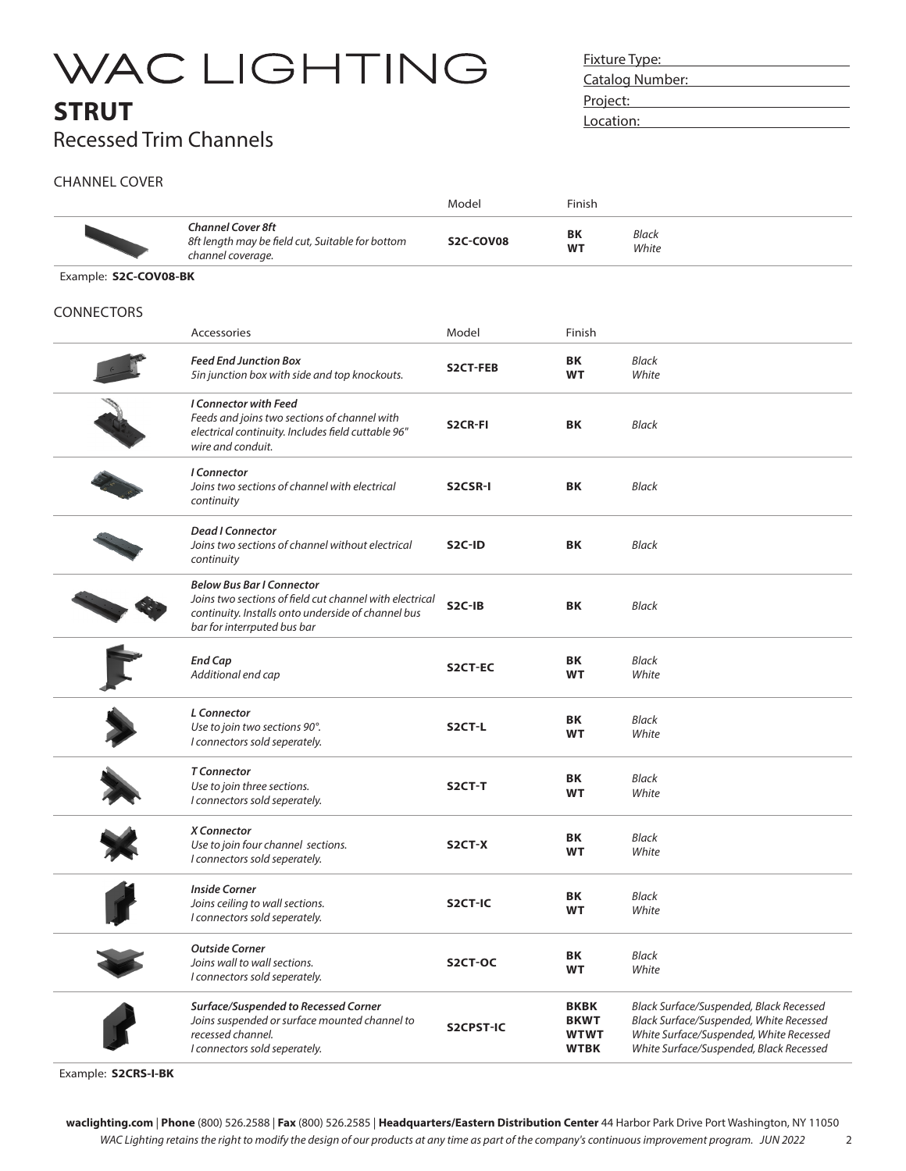### **STRUT** Recessed Trim Channels

Fixture Type: Catalog Number: Project: **Project:** Location:

2

### CHANNEL COVER

|                       |                                                                                                                                                                                  | Model               | Finish                                                   |                                                                                                                                                                          |
|-----------------------|----------------------------------------------------------------------------------------------------------------------------------------------------------------------------------|---------------------|----------------------------------------------------------|--------------------------------------------------------------------------------------------------------------------------------------------------------------------------|
|                       | <b>Channel Cover 8ft</b><br>8ft length may be field cut, Suitable for bottom<br>channel coverage.                                                                                | S2C-COV08           | ΒK<br>WT                                                 | <b>Black</b><br>White                                                                                                                                                    |
| Example: S2C-COV08-BK |                                                                                                                                                                                  |                     |                                                          |                                                                                                                                                                          |
| CONNECTORS            |                                                                                                                                                                                  |                     |                                                          |                                                                                                                                                                          |
|                       | Accessories                                                                                                                                                                      | Model               | Finish                                                   |                                                                                                                                                                          |
|                       | <b>Feed End Junction Box</b><br>5in junction box with side and top knockouts.                                                                                                    | S2CT-FEB            | ΒK<br>WT                                                 | <b>Black</b><br>White                                                                                                                                                    |
|                       | <b>I Connector with Feed</b><br>Feeds and joins two sections of channel with<br>electrical continuity. Includes field cuttable 96"<br>wire and conduit.                          | S2CR-FI             | BK                                                       | <b>Black</b>                                                                                                                                                             |
|                       | I Connector<br>Joins two sections of channel with electrical<br>continuity                                                                                                       | S2CSR-I             | ΒK                                                       | <b>Black</b>                                                                                                                                                             |
|                       | <b>Dead I Connector</b><br>Joins two sections of channel without electrical<br>continuity                                                                                        | S <sub>2</sub> C-ID | ΒK                                                       | <b>Black</b>                                                                                                                                                             |
|                       | <b>Below Bus Bar I Connector</b><br>Joins two sections of field cut channel with electrical<br>continuity. Installs onto underside of channel bus<br>bar for interrputed bus bar | S2C-IB              | BK                                                       | <b>Black</b>                                                                                                                                                             |
|                       | End Cap<br>Additional end cap                                                                                                                                                    | S2CT-EC             | BK<br>WT                                                 | <b>Black</b><br>White                                                                                                                                                    |
|                       | <b>L</b> Connector<br>Use to join two sections 90°.<br>I connectors sold seperately.                                                                                             | S2CT-L              | ΒK<br><b>WT</b>                                          | <b>Black</b><br>White                                                                                                                                                    |
|                       | <b>T</b> Connector<br>Use to join three sections.<br>I connectors sold seperately.                                                                                               | S2CT-T              | ΒK<br>WT                                                 | Black<br>White                                                                                                                                                           |
|                       | X Connector<br>Use to join four channel sections.<br>I connectors sold seperately.                                                                                               | S2CT-X              | ΒK<br><b>WT</b>                                          | <b>Black</b><br>White                                                                                                                                                    |
|                       | <b>Inside Corner</b><br>Joins ceiling to wall sections.<br>I connectors sold seperately.                                                                                         | S2CT-IC             | BK<br>WT                                                 | <b>Black</b><br>White                                                                                                                                                    |
|                       | <b>Outside Corner</b><br>Joins wall to wall sections.<br>I connectors sold seperately.                                                                                           | S2CT-OC             | BK<br><b>WT</b>                                          | <b>Black</b><br>White                                                                                                                                                    |
|                       | Surface/Suspended to Recessed Corner<br>Joins suspended or surface mounted channel to<br>recessed channel.<br>I connectors sold seperately.                                      | S2CPST-IC           | <b>BKBK</b><br><b>BKWT</b><br><b>WTWT</b><br><b>WTBK</b> | Black Surface/Suspended, Black Recessed<br>Black Surface/Suspended, White Recessed<br>White Surface/Suspended, White Recessed<br>White Surface/Suspended, Black Recessed |
|                       |                                                                                                                                                                                  |                     |                                                          |                                                                                                                                                                          |

Example: **S2CRS-I-BK**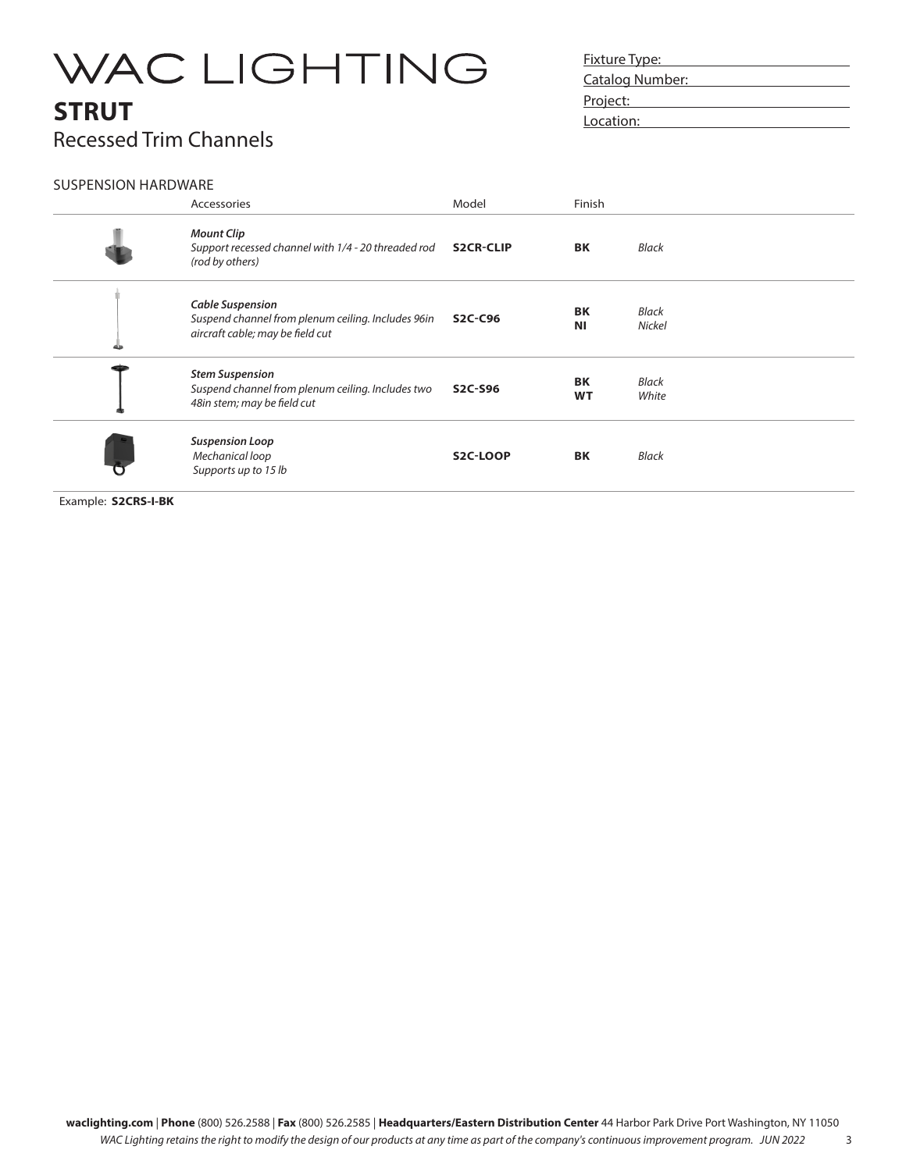## **STRUT** Recessed Trim Channels

### Fixture Type: Fixture Type: Catalog Number:<br>
Latalog Number: Project: **Project:** Location:

### SUSPENSION HARDWARE

| Accessories                                                                                                       | Model            | Finish                 |                        |
|-------------------------------------------------------------------------------------------------------------------|------------------|------------------------|------------------------|
| <b>Mount Clip</b><br>Support recessed channel with 1/4 - 20 threaded rod<br>(rod by others)                       | <b>S2CR-CLIP</b> | BK                     | <b>Black</b>           |
| <b>Cable Suspension</b><br>Suspend channel from plenum ceiling. Includes 96in<br>aircraft cable; may be field cut | S2C-C96          | <b>BK</b><br><b>NI</b> | Black<br><b>Nickel</b> |
| <b>Stem Suspension</b><br>Suspend channel from plenum ceiling. Includes two<br>48in stem; may be field cut        | <b>S2C-S96</b>   | <b>BK</b><br><b>WT</b> | Black<br>White         |
| <b>Suspension Loop</b><br>Mechanical loop<br>Supports up to 15 lb                                                 | <b>S2C-LOOP</b>  | <b>BK</b>              | <b>Black</b>           |

Example: **S2CRS-I-BK**